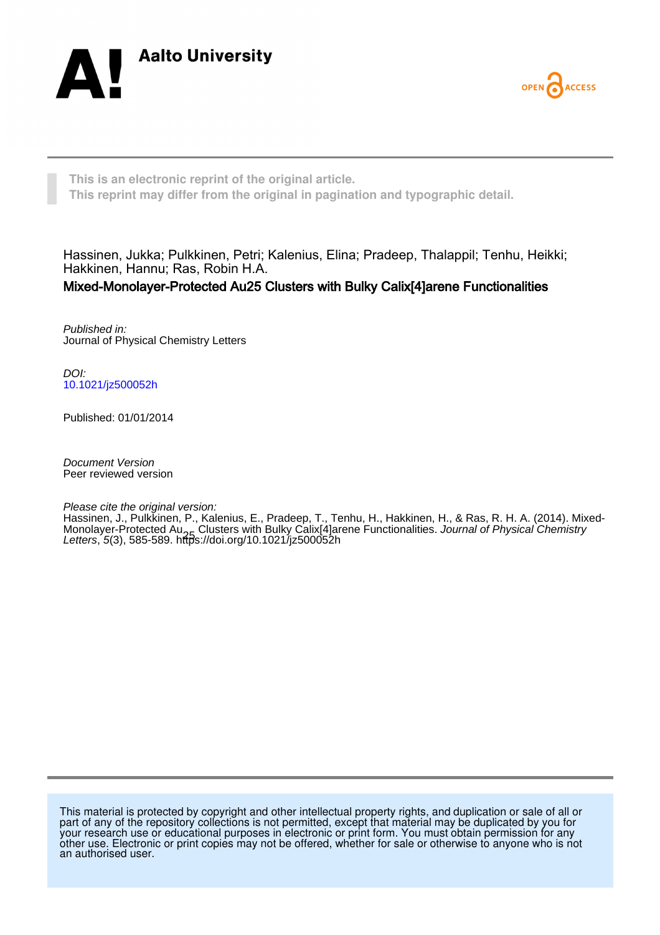



**This is an electronic reprint of the original article. This reprint may differ from the original in pagination and typographic detail.**

Hassinen, Jukka; Pulkkinen, Petri; Kalenius, Elina; Pradeep, Thalappil; Tenhu, Heikki; Hakkinen, Hannu; Ras, Robin H.A. Mixed-Monolayer-Protected Au25 Clusters with Bulky Calix[4]arene Functionalities

Published in: Journal of Physical Chemistry Letters

DOI: [10.1021/jz500052h](https://doi.org/10.1021/jz500052h)

Published: 01/01/2014

Document Version Peer reviewed version

Please cite the original version:

[Hassinen, J.](/portal/jukka.hassinen.html), Pulkkinen, P., Kalenius, E., Pradeep, T., Tenhu, H., Hakkinen, H.[, & Ras, R. H. A.](/portal/robin.ras.html) (2014). [Mixed-](https://research.aalto.fi/en/publications/mixedmonolayerprotected-au25-clusters-with-bulky-calix4arene-functionalities(ac41f05f-ea6c-4535-9cb7-200d6cc65a5a).html)Monolayer-Protected Au<sub>o-F</sub> Clusters with Bulky Calix[4]arene Functionalities. *[Journal of Physical Chemistry](https://research.aalto.fi/en/journals/journal-of-physical-chemistry-letters(cd287ffc-e8dd-467d-9447-ac0699c92200)/publications.html)*<br>*[Letters](https://research.aalto.fi/en/journals/journal-of-physical-chemistry-letters(cd287ffc-e8dd-467d-9447-ac0699c92200)/publications.html)*, *5*(3), 585-589. <https://doi.org/10.1021/jz500052h>

This material is protected by copyright and other intellectual property rights, and duplication or sale of all or part of any of the repository collections is not permitted, except that material may be duplicated by you for your research use or educational purposes in electronic or print form. You must obtain permission for any other use. Electronic or print copies may not be offered, whether for sale or otherwise to anyone who is not an authorised user.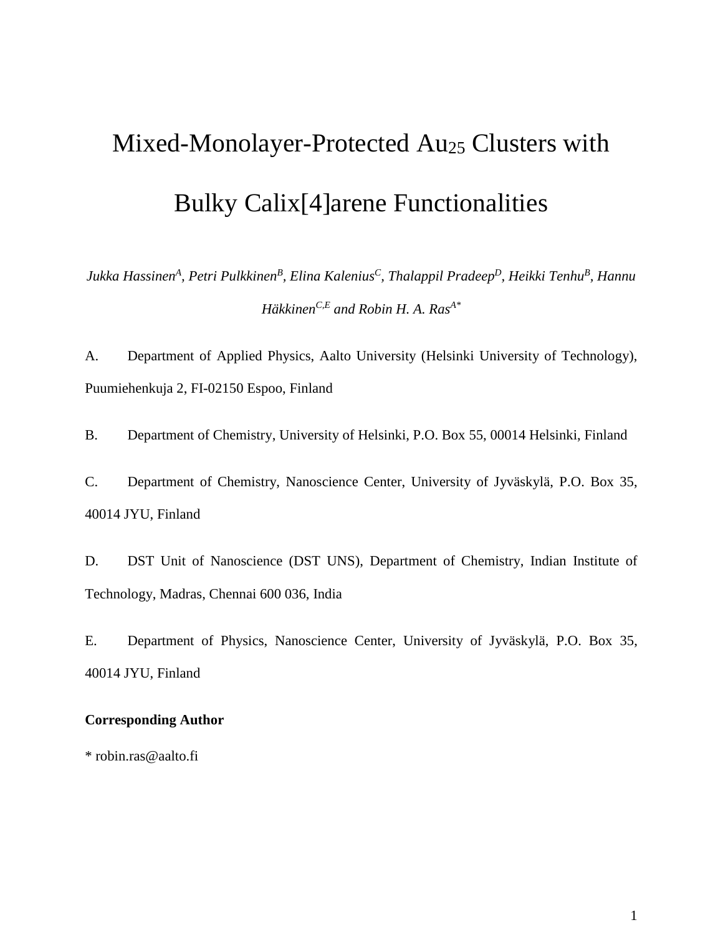# Mixed-Monolayer-Protected Au<sub>25</sub> Clusters with Bulky Calix[4]arene Functionalities

*Jukka HassinenA, Petri PulkkinenB, Elina KaleniusC, Thalappil PradeepD, Heikki TenhuB, Hannu HäkkinenC,E and Robin H. A. RasA\**

A. Department of Applied Physics, Aalto University (Helsinki University of Technology), Puumiehenkuja 2, FI-02150 Espoo, Finland

B. Department of Chemistry, University of Helsinki, P.O. Box 55, 00014 Helsinki, Finland

C. Department of Chemistry, Nanoscience Center, University of Jyväskylä, P.O. Box 35, 40014 JYU, Finland

D. DST Unit of Nanoscience (DST UNS), Department of Chemistry, Indian Institute of Technology, Madras, Chennai 600 036, India

E. Department of Physics, Nanoscience Center, University of Jyväskylä, P.O. Box 35, 40014 JYU, Finland

## **Corresponding Author**

\* robin.ras@aalto.fi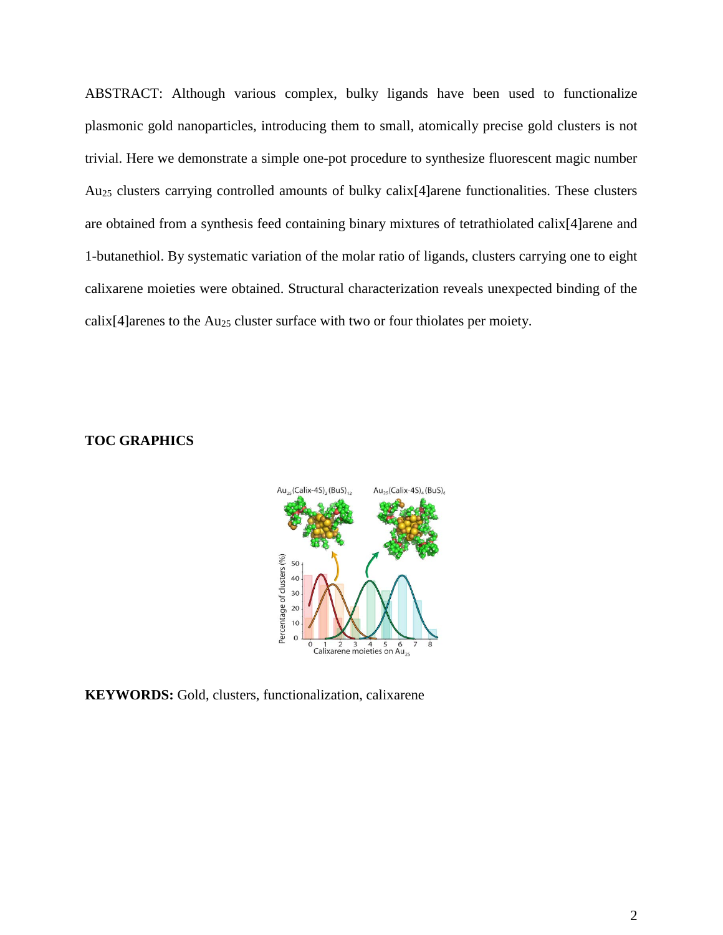ABSTRACT: Although various complex, bulky ligands have been used to functionalize plasmonic gold nanoparticles, introducing them to small, atomically precise gold clusters is not trivial. Here we demonstrate a simple one-pot procedure to synthesize fluorescent magic number Au25 clusters carrying controlled amounts of bulky calix[4]arene functionalities. These clusters are obtained from a synthesis feed containing binary mixtures of tetrathiolated calix[4]arene and 1-butanethiol. By systematic variation of the molar ratio of ligands, clusters carrying one to eight calixarene moieties were obtained. Structural characterization reveals unexpected binding of the calix[4]arenes to the Au25 cluster surface with two or four thiolates per moiety.

## **TOC GRAPHICS**



**KEYWORDS:** Gold, clusters, functionalization, calixarene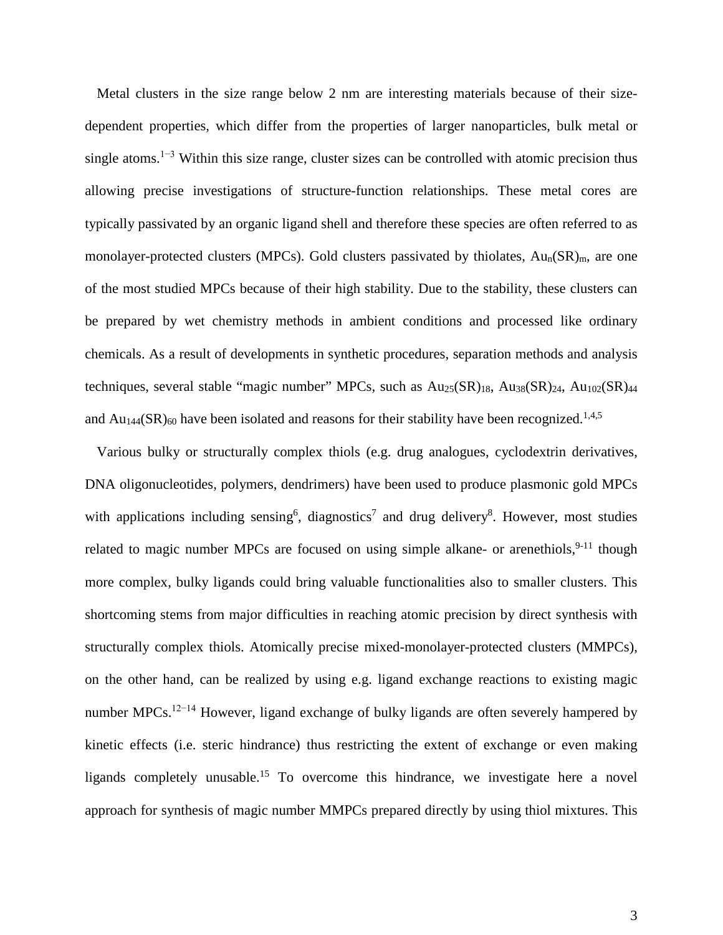Metal clusters in the size range below 2 nm are interesting materials because of their sizedependent properties, which differ from the properties of larger nanoparticles, bulk metal or single atoms.<sup>1−3</sup> Within this size range, cluster sizes can be controlled with atomic precision thus allowing precise investigations of structure-function relationships. These metal cores are typically passivated by an organic ligand shell and therefore these species are often referred to as monolayer-protected clusters (MPCs). Gold clusters passivated by thiolates,  $Au_n(SR)_m$ , are one of the most studied MPCs because of their high stability. Due to the stability, these clusters can be prepared by wet chemistry methods in ambient conditions and processed like ordinary chemicals. As a result of developments in synthetic procedures, separation methods and analysis techniques, several stable "magic number" MPCs, such as  $Au_{25}(SR)_{18}$ ,  $Au_{38}(SR)_{24}$ ,  $Au_{102}(SR)_{44}$ and  $Au_{144}(SR)_{60}$  have been isolated and reasons for their stability have been recognized.<sup>1,4,5</sup>

Various bulky or structurally complex thiols (e.g. drug analogues, cyclodextrin derivatives, DNA oligonucleotides, polymers, dendrimers) have been used to produce plasmonic gold MPCs with applications including sensing<sup>6</sup>, diagnostics<sup>7</sup> and drug delivery<sup>8</sup>. However, most studies related to magic number MPCs are focused on using simple alkane- or arenethiols,  $9-11$  though more complex, bulky ligands could bring valuable functionalities also to smaller clusters. This shortcoming stems from major difficulties in reaching atomic precision by direct synthesis with structurally complex thiols. Atomically precise mixed-monolayer-protected clusters (MMPCs), on the other hand, can be realized by using e.g. ligand exchange reactions to existing magic number MPCs.<sup>12−14</sup> However, ligand exchange of bulky ligands are often severely hampered by kinetic effects (i.e. steric hindrance) thus restricting the extent of exchange or even making ligands completely unusable.15 To overcome this hindrance, we investigate here a novel approach for synthesis of magic number MMPCs prepared directly by using thiol mixtures. This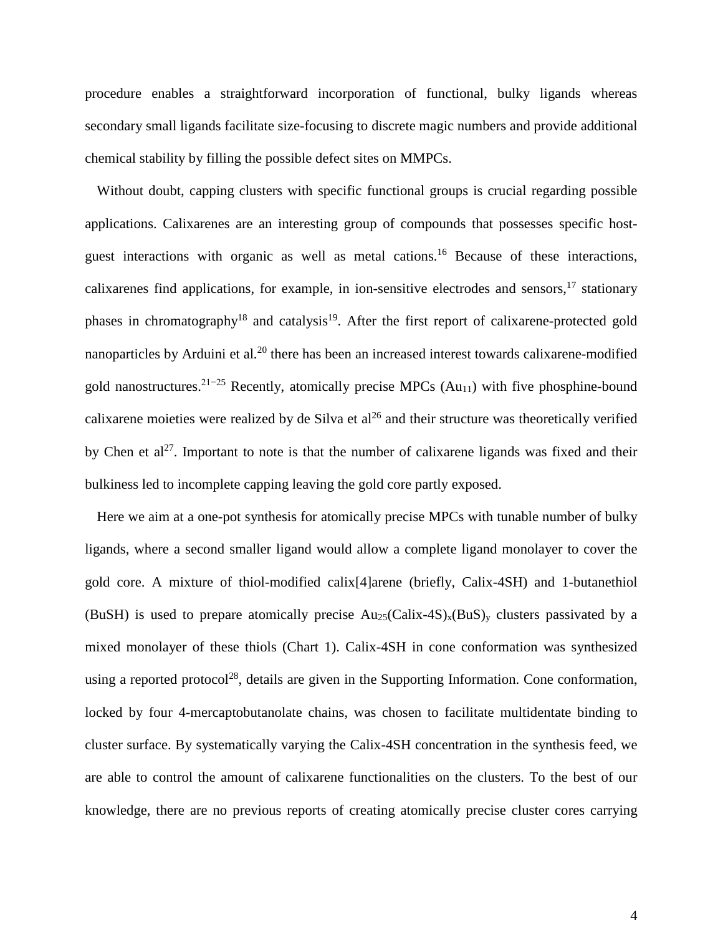procedure enables a straightforward incorporation of functional, bulky ligands whereas secondary small ligands facilitate size-focusing to discrete magic numbers and provide additional chemical stability by filling the possible defect sites on MMPCs.

Without doubt, capping clusters with specific functional groups is crucial regarding possible applications. Calixarenes are an interesting group of compounds that possesses specific hostguest interactions with organic as well as metal cations.<sup>16</sup> Because of these interactions, calixarenes find applications, for example, in ion-sensitive electrodes and sensors,  $17$  stationary phases in chromatography<sup>18</sup> and catalysis<sup>19</sup>. After the first report of calixarene-protected gold nanoparticles by Arduini et al*.* <sup>20</sup> there has been an increased interest towards calixarene-modified gold nanostructures.<sup>21-25</sup> Recently, atomically precise MPCs (Au<sub>11</sub>) with five phosphine-bound calixarene moieties were realized by de Silva et  $al^{26}$  and their structure was theoretically verified by Chen et  $al^{27}$ . Important to note is that the number of calixarene ligands was fixed and their bulkiness led to incomplete capping leaving the gold core partly exposed.

Here we aim at a one-pot synthesis for atomically precise MPCs with tunable number of bulky ligands, where a second smaller ligand would allow a complete ligand monolayer to cover the gold core. A mixture of thiol-modified calix[4]arene (briefly, Calix-4SH) and 1-butanethiol (BuSH) is used to prepare atomically precise  $Au_{25}(Calix-4S)_x(BuS)_y$  clusters passivated by a mixed monolayer of these thiols (Chart 1). Calix-4SH in cone conformation was synthesized using a reported protocol<sup>28</sup>, details are given in the Supporting Information. Cone conformation, locked by four 4-mercaptobutanolate chains, was chosen to facilitate multidentate binding to cluster surface. By systematically varying the Calix-4SH concentration in the synthesis feed, we are able to control the amount of calixarene functionalities on the clusters. To the best of our knowledge, there are no previous reports of creating atomically precise cluster cores carrying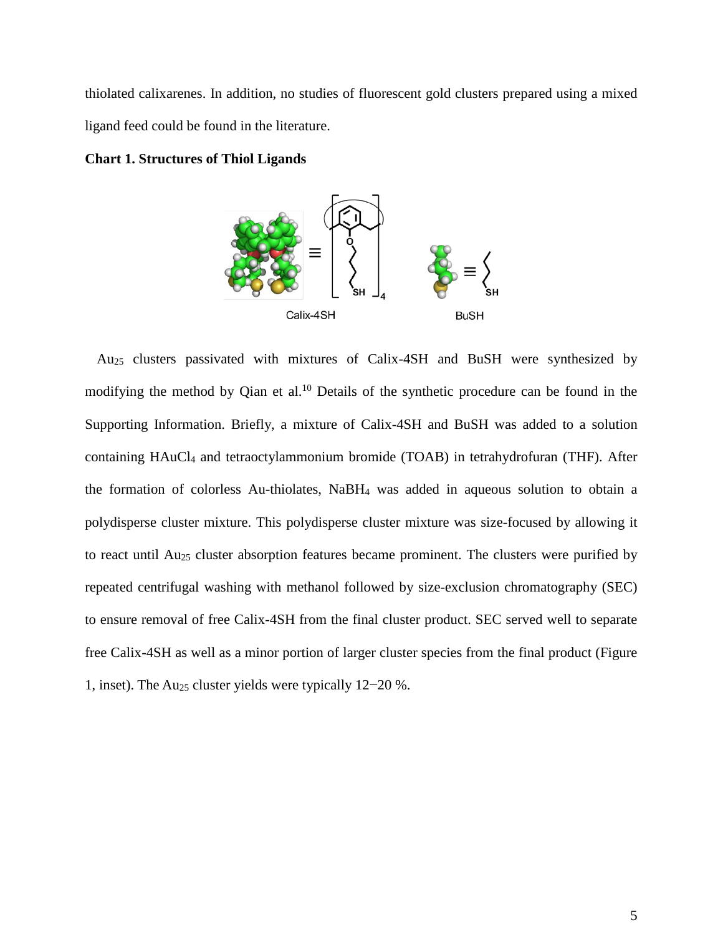thiolated calixarenes. In addition, no studies of fluorescent gold clusters prepared using a mixed ligand feed could be found in the literature.

**Chart 1. Structures of Thiol Ligands**



Au25 clusters passivated with mixtures of Calix-4SH and BuSH were synthesized by modifying the method by Qian et al.<sup>10</sup> Details of the synthetic procedure can be found in the Supporting Information. Briefly, a mixture of Calix-4SH and BuSH was added to a solution containing HAuCl4 and tetraoctylammonium bromide (TOAB) in tetrahydrofuran (THF). After the formation of colorless Au-thiolates, NaBH4 was added in aqueous solution to obtain a polydisperse cluster mixture. This polydisperse cluster mixture was size-focused by allowing it to react until Au<sub>25</sub> cluster absorption features became prominent. The clusters were purified by repeated centrifugal washing with methanol followed by size-exclusion chromatography (SEC) to ensure removal of free Calix-4SH from the final cluster product. SEC served well to separate free Calix-4SH as well as a minor portion of larger cluster species from the final product (Figure 1, inset). The Au25 cluster yields were typically 12−20 %.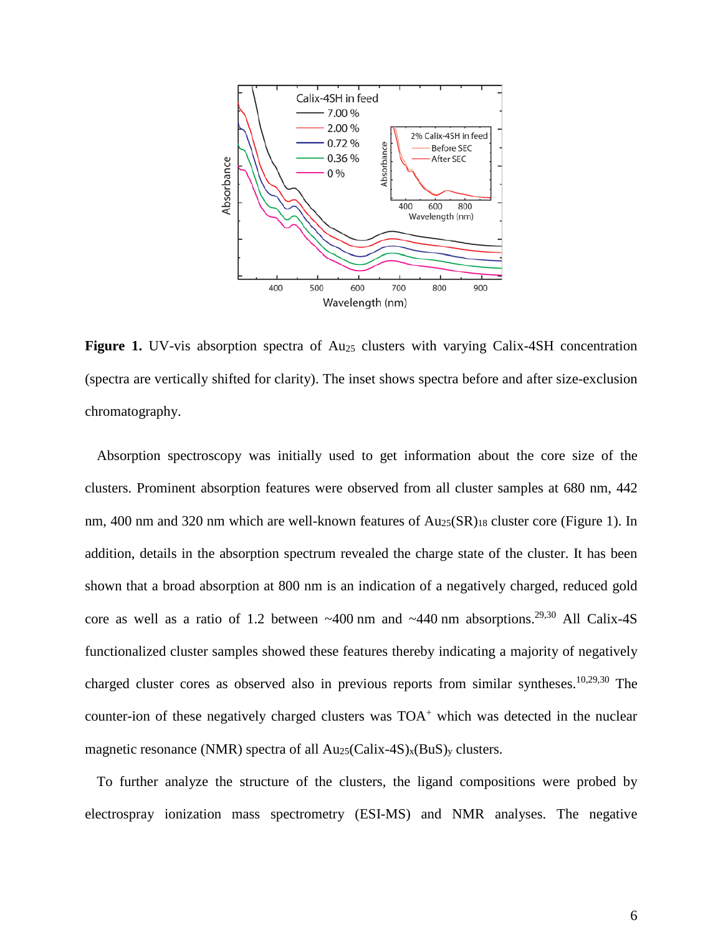

**Figure 1.** UV-vis absorption spectra of Au<sub>25</sub> clusters with varying Calix-4SH concentration (spectra are vertically shifted for clarity). The inset shows spectra before and after size-exclusion chromatography.

Absorption spectroscopy was initially used to get information about the core size of the clusters. Prominent absorption features were observed from all cluster samples at 680 nm, 442 nm, 400 nm and 320 nm which are well-known features of  $Au_{25}(SR)_{18}$  cluster core (Figure 1). In addition, details in the absorption spectrum revealed the charge state of the cluster. It has been shown that a broad absorption at 800 nm is an indication of a negatively charged, reduced gold core as well as a ratio of 1.2 between  $\sim$ 400 nm and  $\sim$ 440 nm absorptions.<sup>29,30</sup> All Calix-4S functionalized cluster samples showed these features thereby indicating a majority of negatively charged cluster cores as observed also in previous reports from similar syntheses. 10,29,30 The counter-ion of these negatively charged clusters was  $TOA<sup>+</sup>$  which was detected in the nuclear magnetic resonance (NMR) spectra of all  $Au_{25}(Calix-4S)_x(BuS)_y$  clusters.

To further analyze the structure of the clusters, the ligand compositions were probed by electrospray ionization mass spectrometry (ESI-MS) and NMR analyses. The negative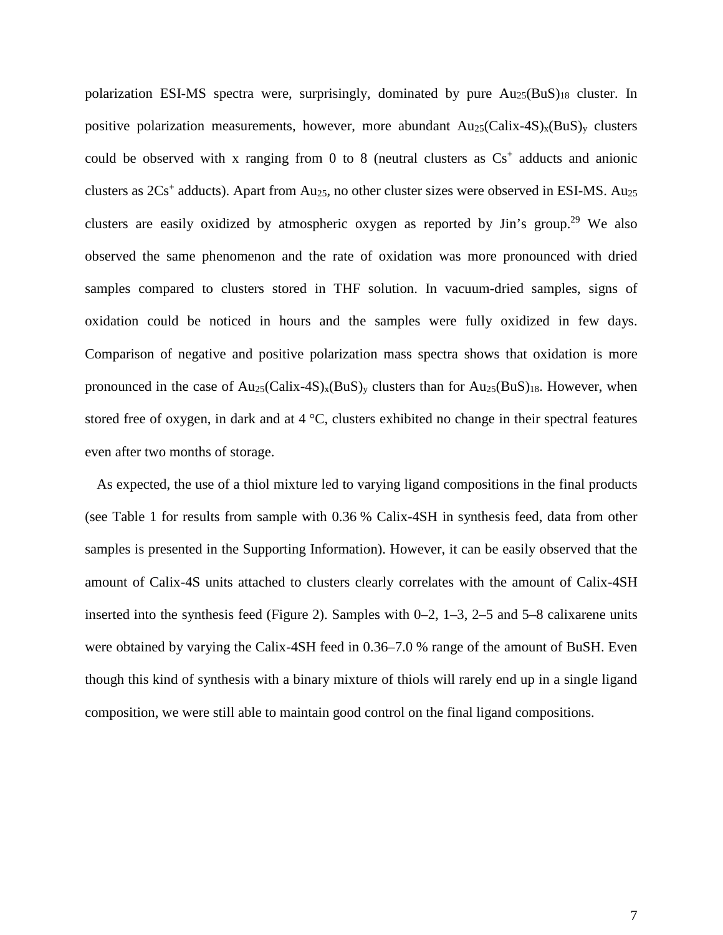polarization ESI-MS spectra were, surprisingly, dominated by pure  $Au_{25}(BuS)_{18}$  cluster. In positive polarization measurements, however, more abundant  $Au_{25}(Calix-4S)_x(BuS)_y$  clusters could be observed with x ranging from 0 to 8 (neutral clusters as  $Cs<sup>+</sup>$  adducts and anionic clusters as  $2Cs^+$  adducts). Apart from Au<sub>25</sub>, no other cluster sizes were observed in ESI-MS. Au<sub>25</sub> clusters are easily oxidized by atmospheric oxygen as reported by  $\text{Jin's group.}^{29}$  We also observed the same phenomenon and the rate of oxidation was more pronounced with dried samples compared to clusters stored in THF solution. In vacuum-dried samples, signs of oxidation could be noticed in hours and the samples were fully oxidized in few days. Comparison of negative and positive polarization mass spectra shows that oxidation is more pronounced in the case of  $Au_{25}(Calix-4S)_x(BuS)_y$  clusters than for  $Au_{25}(BuS)_{18}$ . However, when stored free of oxygen, in dark and at 4 °C, clusters exhibited no change in their spectral features even after two months of storage.

As expected, the use of a thiol mixture led to varying ligand compositions in the final products (see Table 1 for results from sample with 0.36 % Calix-4SH in synthesis feed, data from other samples is presented in the Supporting Information). However, it can be easily observed that the amount of Calix-4S units attached to clusters clearly correlates with the amount of Calix-4SH inserted into the synthesis feed (Figure 2). Samples with 0–2, 1–3, 2–5 and 5–8 calixarene units were obtained by varying the Calix-4SH feed in 0.36–7.0 % range of the amount of BuSH. Even though this kind of synthesis with a binary mixture of thiols will rarely end up in a single ligand composition, we were still able to maintain good control on the final ligand compositions.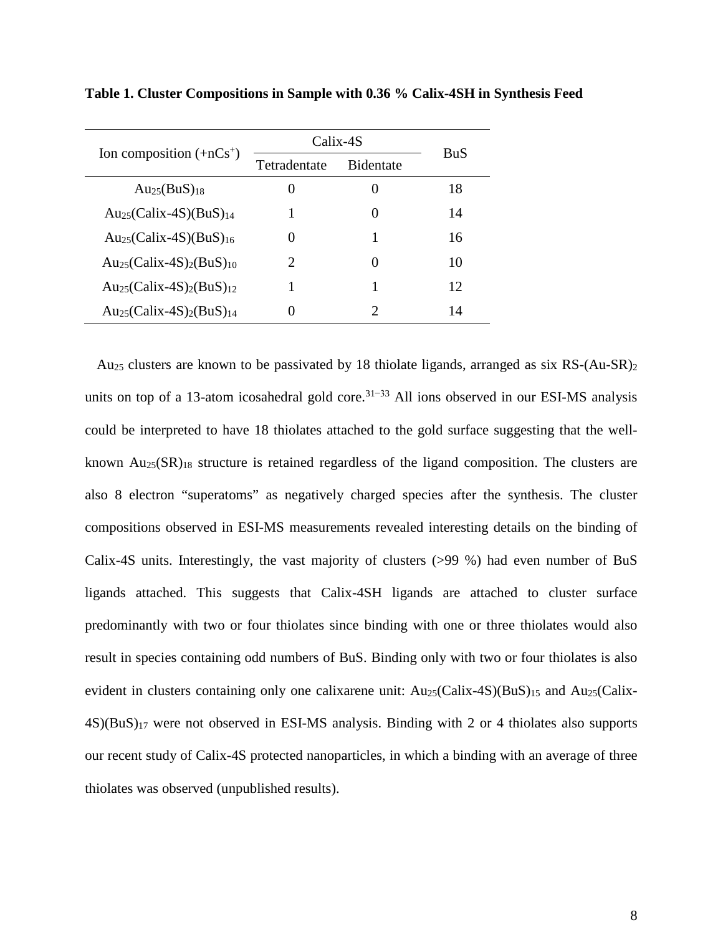| Ion composition $(+nCs^+)$                                   | Calix-4S                    |                  | <b>BuS</b> |
|--------------------------------------------------------------|-----------------------------|------------------|------------|
|                                                              | Tetradentate                | <b>Bidentate</b> |            |
| $Au_{25}(BuS)_{18}$                                          | 0                           |                  | 18         |
| $Au_{25}(Calix-4S)(BuS)_{14}$                                |                             | $\left( \right)$ | 14         |
| $Au_{25}(Calix-4S)(BuS)_{16}$                                | $\theta$                    | 1                | 16         |
| $Au_{25}(Calix-4S)2(BuS)10$                                  | $\mathcal{D}_{\mathcal{L}}$ | $\left( \right)$ | 10         |
| Au <sub>25</sub> (Calix-4S) <sub>2</sub> (BuS) <sub>12</sub> |                             |                  | 12         |
| $Au_{25}(Calix-4S)2(BuS)14$                                  | $\mathbf{\Omega}$           | $\mathcal{D}$    | 14         |

**Table 1. Cluster Compositions in Sample with 0.36 % Calix-4SH in Synthesis Feed**

Au25 clusters are known to be passivated by 18 thiolate ligands, arranged as six RS-(Au-SR)2 units on top of a 13-atom icosahedral gold core.<sup>31–33</sup> All ions observed in our ESI-MS analysis could be interpreted to have 18 thiolates attached to the gold surface suggesting that the wellknown  $Au_{25}(SR)_{18}$  structure is retained regardless of the ligand composition. The clusters are also 8 electron "superatoms" as negatively charged species after the synthesis. The cluster compositions observed in ESI-MS measurements revealed interesting details on the binding of Calix-4S units. Interestingly, the vast majority of clusters (>99 %) had even number of BuS ligands attached. This suggests that Calix-4SH ligands are attached to cluster surface predominantly with two or four thiolates since binding with one or three thiolates would also result in species containing odd numbers of BuS. Binding only with two or four thiolates is also evident in clusters containing only one calixarene unit:  $Au_{25}(Calix-4S)(BuS)_{15}$  and  $Au_{25}(Calix-4S)$ 4S)(BuS)17 were not observed in ESI-MS analysis. Binding with 2 or 4 thiolates also supports our recent study of Calix-4S protected nanoparticles, in which a binding with an average of three thiolates was observed (unpublished results).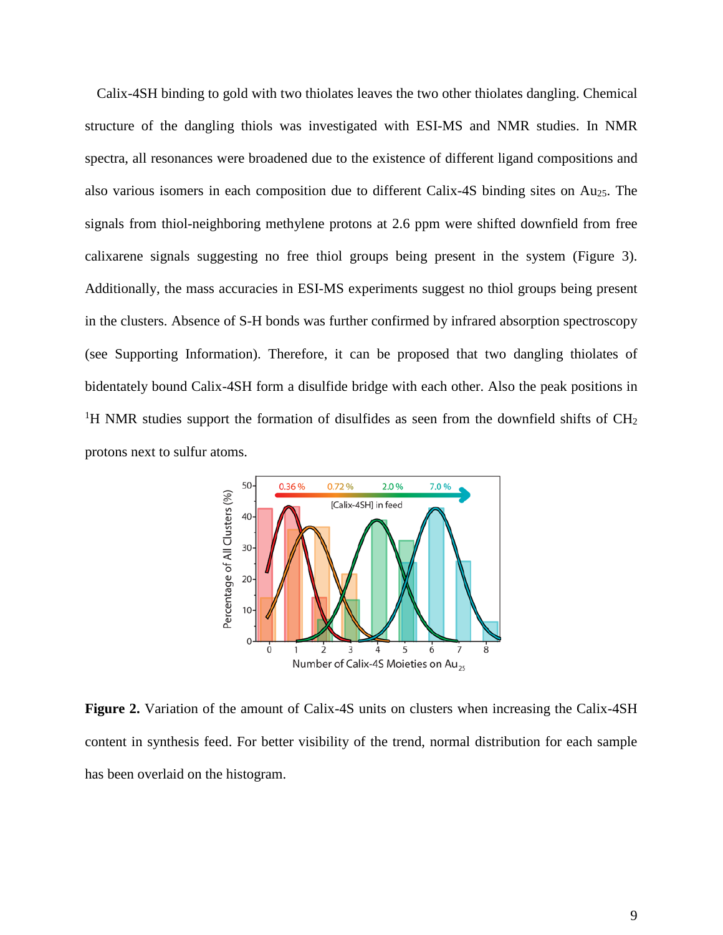Calix-4SH binding to gold with two thiolates leaves the two other thiolates dangling. Chemical structure of the dangling thiols was investigated with ESI-MS and NMR studies. In NMR spectra, all resonances were broadened due to the existence of different ligand compositions and also various isomers in each composition due to different Calix-4S binding sites on Au25. The signals from thiol-neighboring methylene protons at 2.6 ppm were shifted downfield from free calixarene signals suggesting no free thiol groups being present in the system (Figure 3). Additionally, the mass accuracies in ESI-MS experiments suggest no thiol groups being present in the clusters. Absence of S-H bonds was further confirmed by infrared absorption spectroscopy (see Supporting Information). Therefore, it can be proposed that two dangling thiolates of bidentately bound Calix-4SH form a disulfide bridge with each other. Also the peak positions in <sup>1</sup>H NMR studies support the formation of disulfides as seen from the downfield shifts of  $CH<sub>2</sub>$ protons next to sulfur atoms.



**Figure 2.** Variation of the amount of Calix-4S units on clusters when increasing the Calix-4SH content in synthesis feed. For better visibility of the trend, normal distribution for each sample has been overlaid on the histogram.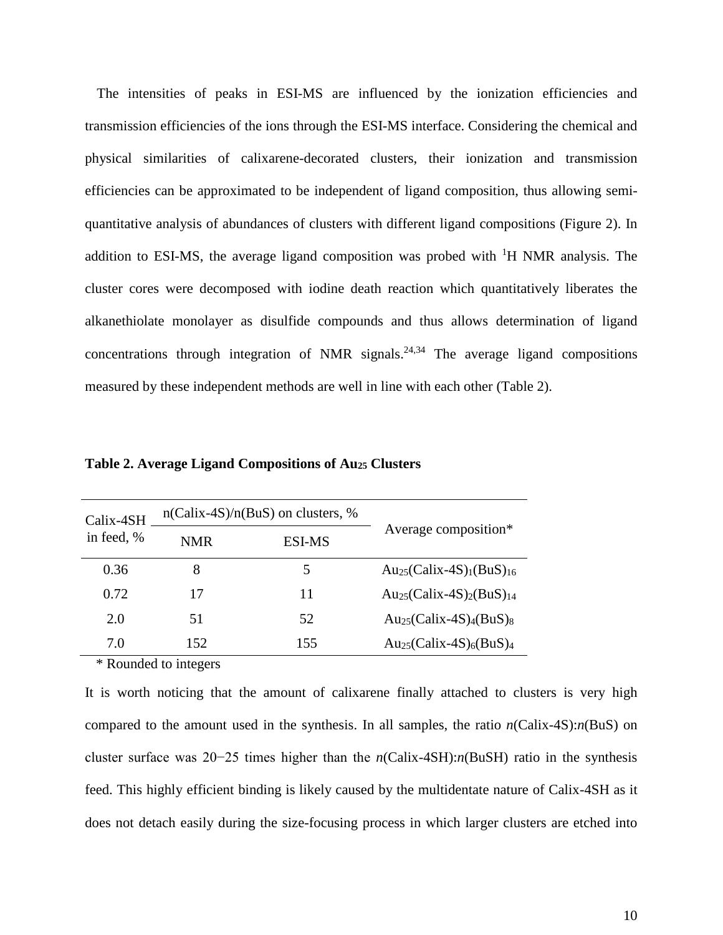The intensities of peaks in ESI-MS are influenced by the ionization efficiencies and transmission efficiencies of the ions through the ESI-MS interface. Considering the chemical and physical similarities of calixarene-decorated clusters, their ionization and transmission efficiencies can be approximated to be independent of ligand composition, thus allowing semiquantitative analysis of abundances of clusters with different ligand compositions (Figure 2). In addition to ESI-MS, the average ligand composition was probed with <sup>1</sup>H NMR analysis. The cluster cores were decomposed with iodine death reaction which quantitatively liberates the alkanethiolate monolayer as disulfide compounds and thus allows determination of ligand concentrations through integration of NMR signals.<sup>24,34</sup> The average ligand compositions measured by these independent methods are well in line with each other (Table 2).

| Calix-4SH  | $n(Calix-4S)/n(BuS)$ on clusters, % |               |                                                              |  |
|------------|-------------------------------------|---------------|--------------------------------------------------------------|--|
| in feed, % | <b>NMR</b>                          | <b>ESI-MS</b> | Average composition*                                         |  |
| 0.36       | 8                                   | 5             | Au <sub>25</sub> (Calix-4S) <sub>1</sub> (BuS) <sub>16</sub> |  |
| 0.72       | 17                                  | 11            | Au <sub>25</sub> (Calix-4S) <sub>2</sub> (BuS) <sub>14</sub> |  |
| 2.0        | 51                                  | 52            | $Au_{25}(Calix-4S)4(BuS)8$                                   |  |
| 7.0        | 152.                                | 155           | $Au_{25}(Calix-4S)_{6}(BuS)_{4}$                             |  |

**Table 2. Average Ligand Compositions of Au25 Clusters**

\* Rounded to integers

It is worth noticing that the amount of calixarene finally attached to clusters is very high compared to the amount used in the synthesis. In all samples, the ratio *n*(Calix-4S):*n*(BuS) on cluster surface was 20−25 times higher than the *n*(Calix-4SH):*n*(BuSH) ratio in the synthesis feed. This highly efficient binding is likely caused by the multidentate nature of Calix-4SH as it does not detach easily during the size-focusing process in which larger clusters are etched into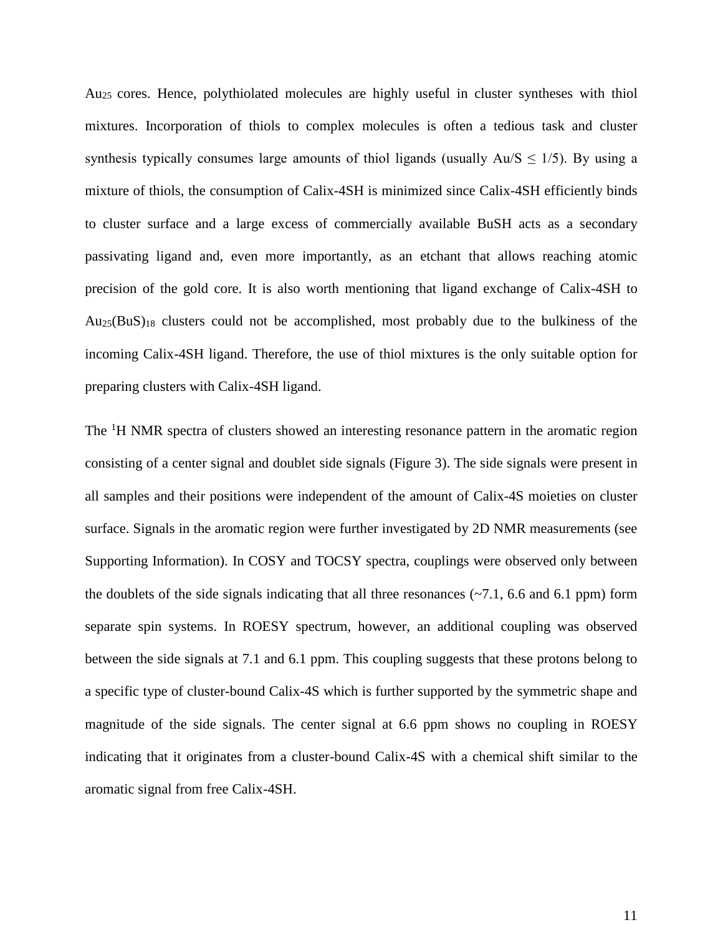Au25 cores. Hence, polythiolated molecules are highly useful in cluster syntheses with thiol mixtures. Incorporation of thiols to complex molecules is often a tedious task and cluster synthesis typically consumes large amounts of thiol ligands (usually  $Au/S \leq 1/5$ ). By using a mixture of thiols, the consumption of Calix-4SH is minimized since Calix-4SH efficiently binds to cluster surface and a large excess of commercially available BuSH acts as a secondary passivating ligand and, even more importantly, as an etchant that allows reaching atomic precision of the gold core. It is also worth mentioning that ligand exchange of Calix-4SH to  $Au_{25}(BuS)_{18}$  clusters could not be accomplished, most probably due to the bulkiness of the incoming Calix-4SH ligand. Therefore, the use of thiol mixtures is the only suitable option for preparing clusters with Calix-4SH ligand.

The <sup>1</sup>H NMR spectra of clusters showed an interesting resonance pattern in the aromatic region consisting of a center signal and doublet side signals (Figure 3). The side signals were present in all samples and their positions were independent of the amount of Calix-4S moieties on cluster surface. Signals in the aromatic region were further investigated by 2D NMR measurements (see Supporting Information). In COSY and TOCSY spectra, couplings were observed only between the doublets of the side signals indicating that all three resonances  $(\sim 7.1, 6.6 \text{ and } 6.1 \text{ ppm})$  form separate spin systems. In ROESY spectrum, however, an additional coupling was observed between the side signals at 7.1 and 6.1 ppm. This coupling suggests that these protons belong to a specific type of cluster-bound Calix-4S which is further supported by the symmetric shape and magnitude of the side signals. The center signal at 6.6 ppm shows no coupling in ROESY indicating that it originates from a cluster-bound Calix-4S with a chemical shift similar to the aromatic signal from free Calix-4SH.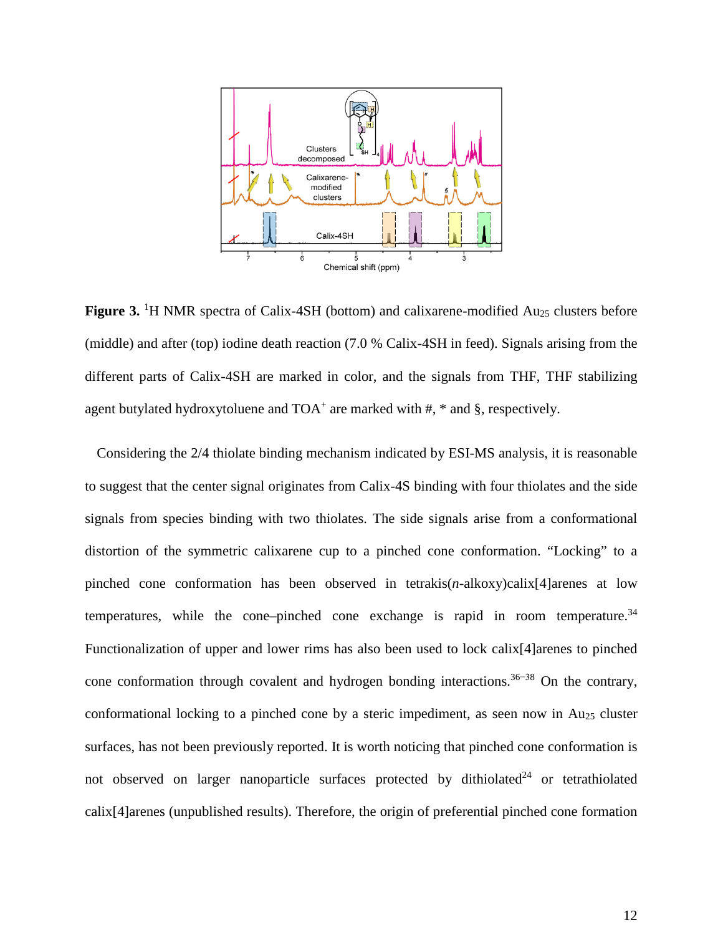

Figure 3. <sup>1</sup>H NMR spectra of Calix-4SH (bottom) and calixarene-modified Au<sub>25</sub> clusters before (middle) and after (top) iodine death reaction (7.0 % Calix-4SH in feed). Signals arising from the different parts of Calix-4SH are marked in color, and the signals from THF, THF stabilizing agent butylated hydroxytoluene and  $TOA<sup>+</sup>$  are marked with #,  $*$  and §, respectively.

Considering the 2/4 thiolate binding mechanism indicated by ESI-MS analysis, it is reasonable to suggest that the center signal originates from Calix-4S binding with four thiolates and the side signals from species binding with two thiolates. The side signals arise from a conformational distortion of the symmetric calixarene cup to a pinched cone conformation. "Locking" to a pinched cone conformation has been observed in tetrakis(*n*-alkoxy)calix[4]arenes at low temperatures, while the cone–pinched cone exchange is rapid in room temperature. $34$ Functionalization of upper and lower rims has also been used to lock calix[4]arenes to pinched cone conformation through covalent and hydrogen bonding interactions.<sup>36–38</sup> On the contrary, conformational locking to a pinched cone by a steric impediment, as seen now in Au25 cluster surfaces, has not been previously reported. It is worth noticing that pinched cone conformation is not observed on larger nanoparticle surfaces protected by dithiolated<sup>24</sup> or tetrathiolated calix[4]arenes (unpublished results). Therefore, the origin of preferential pinched cone formation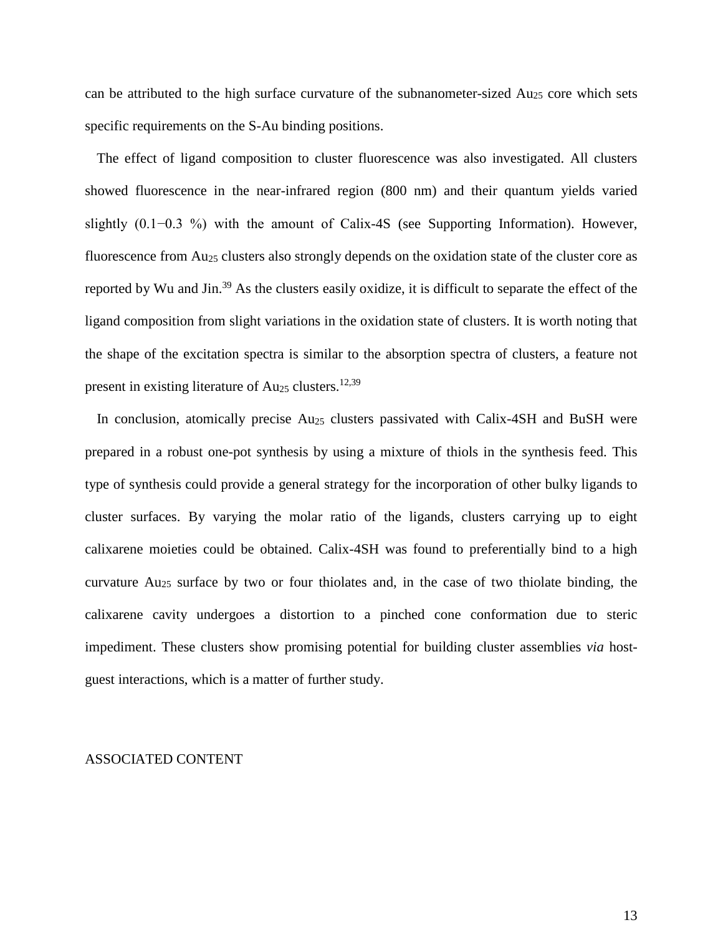can be attributed to the high surface curvature of the subnanometer-sized  $Au_{25}$  core which sets specific requirements on the S-Au binding positions.

The effect of ligand composition to cluster fluorescence was also investigated. All clusters showed fluorescence in the near-infrared region (800 nm) and their quantum yields varied slightly (0.1−0.3 %) with the amount of Calix-4S (see Supporting Information). However, fluorescence from Au<sub>25</sub> clusters also strongly depends on the oxidation state of the cluster core as reported by Wu and Jin.<sup>39</sup> As the clusters easily oxidize, it is difficult to separate the effect of the ligand composition from slight variations in the oxidation state of clusters. It is worth noting that the shape of the excitation spectra is similar to the absorption spectra of clusters, a feature not present in existing literature of  $Au_{25}$  clusters.<sup>12,39</sup>

In conclusion, atomically precise  $Au_{25}$  clusters passivated with Calix-4SH and BuSH were prepared in a robust one-pot synthesis by using a mixture of thiols in the synthesis feed. This type of synthesis could provide a general strategy for the incorporation of other bulky ligands to cluster surfaces. By varying the molar ratio of the ligands, clusters carrying up to eight calixarene moieties could be obtained. Calix-4SH was found to preferentially bind to a high curvature  $Au_{25}$  surface by two or four thiolates and, in the case of two thiolate binding, the calixarene cavity undergoes a distortion to a pinched cone conformation due to steric impediment. These clusters show promising potential for building cluster assemblies *via* hostguest interactions, which is a matter of further study.

### ASSOCIATED CONTENT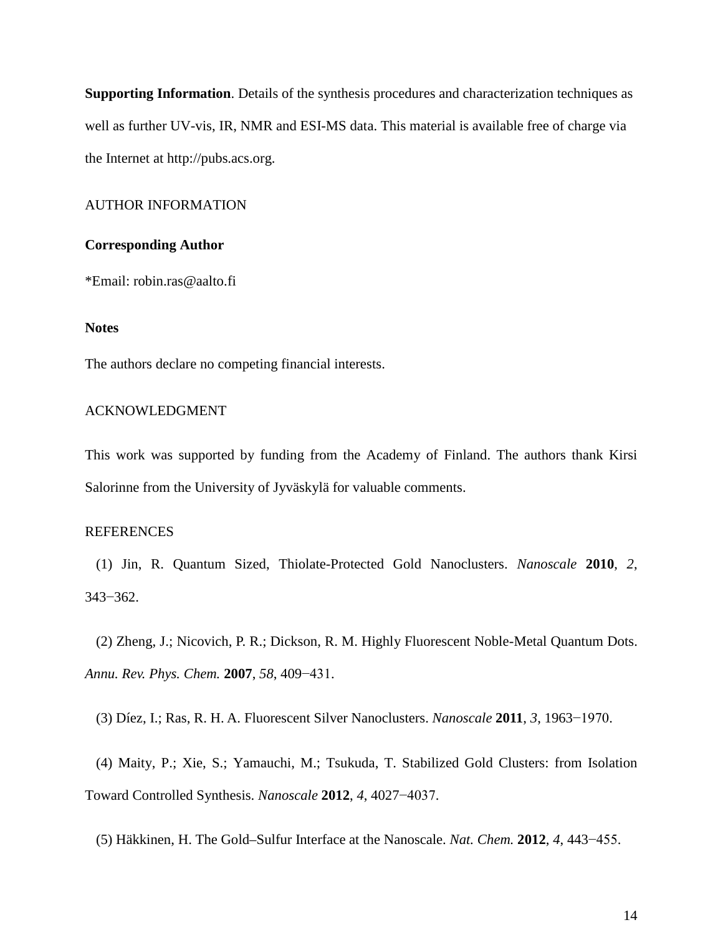**Supporting Information**. Details of the synthesis procedures and characterization techniques as well as further UV-vis, IR, NMR and ESI-MS data. This material is available free of charge via the Internet at http://pubs.acs.org.

## AUTHOR INFORMATION

### **Corresponding Author**

\*Email: robin.ras@aalto.fi

### **Notes**

The authors declare no competing financial interests.

## ACKNOWLEDGMENT

This work was supported by funding from the Academy of Finland. The authors thank Kirsi Salorinne from the University of Jyväskylä for valuable comments.

#### REFERENCES

(1) Jin, R. Quantum Sized, Thiolate-Protected Gold Nanoclusters. *Nanoscale* **2010**, *2*, 343−362.

(2) Zheng, J.; Nicovich, P. R.; Dickson, R. M. Highly Fluorescent Noble-Metal Quantum Dots. *Annu. Rev. Phys. Chem.* **2007**, *58*, 409−431.

(3) Díez, I.; Ras, R. H. A. Fluorescent Silver Nanoclusters. *Nanoscale* **2011**, *3*, 1963−1970.

(4) Maity, P.; Xie, S.; Yamauchi, M.; Tsukuda, T. Stabilized Gold Clusters: from Isolation Toward Controlled Synthesis. *Nanoscale* **2012**, *4*, 4027−4037.

(5) Häkkinen, H. The Gold–Sulfur Interface at the Nanoscale. *Nat. Chem.* **2012**, *4*, 443−455.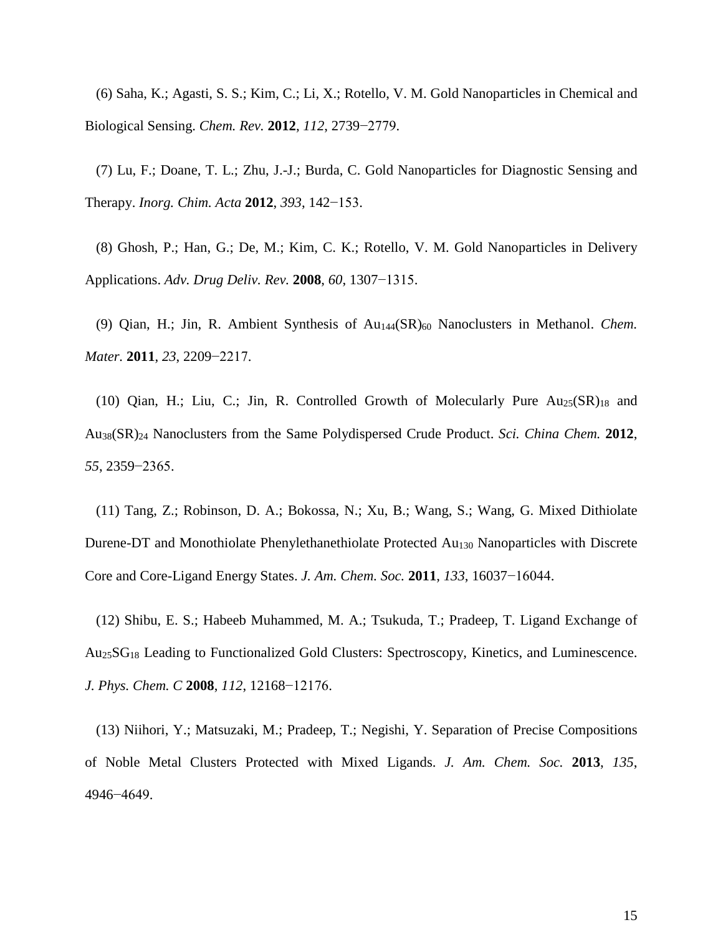(6) Saha, K.; Agasti, S. S.; Kim, C.; Li, X.; Rotello, V. M. Gold Nanoparticles in Chemical and Biological Sensing. *Chem. Rev.* **2012**, *112*, 2739−2779.

(7) Lu, F.; Doane, T. L.; Zhu, J.-J.; Burda, C. Gold Nanoparticles for Diagnostic Sensing and Therapy. *Inorg. Chim. Acta* **2012**, *393*, 142−153.

(8) Ghosh, P.; Han, G.; De, M.; Kim, C. K.; Rotello, V. M. Gold Nanoparticles in Delivery Applications. *Adv. Drug Deliv. Rev.* **2008**, *60*, 1307−1315.

(9) Qian, H.; Jin, R. Ambient Synthesis of Au144(SR)60 Nanoclusters in Methanol. *Chem. Mater.* **2011**, *23*, 2209−2217.

(10) Qian, H.; Liu, C.; Jin, R. Controlled Growth of Molecularly Pure  $Au_{25}(SR)_{18}$  and Au38(SR)24 Nanoclusters from the Same Polydispersed Crude Product. *Sci. China Chem.* **2012**, *55*, 2359−2365.

(11) Tang, Z.; Robinson, D. A.; Bokossa, N.; Xu, B.; Wang, S.; Wang, G. Mixed Dithiolate Durene-DT and Monothiolate Phenylethanethiolate Protected Au<sub>130</sub> Nanoparticles with Discrete Core and Core-Ligand Energy States. *J. Am. Chem. Soc.* **2011**, *133*, 16037−16044.

(12) Shibu, E. S.; Habeeb Muhammed, M. A.; Tsukuda, T.; Pradeep, T. Ligand Exchange of Au25SG18 Leading to Functionalized Gold Clusters: Spectroscopy, Kinetics, and Luminescence. *J. Phys. Chem. C* **2008**, *112*, 12168−12176.

(13) Niihori, Y.; Matsuzaki, M.; Pradeep, T.; Negishi, Y. Separation of Precise Compositions of Noble Metal Clusters Protected with Mixed Ligands. *J. Am. Chem. Soc.* **2013**, *135*, 4946−4649.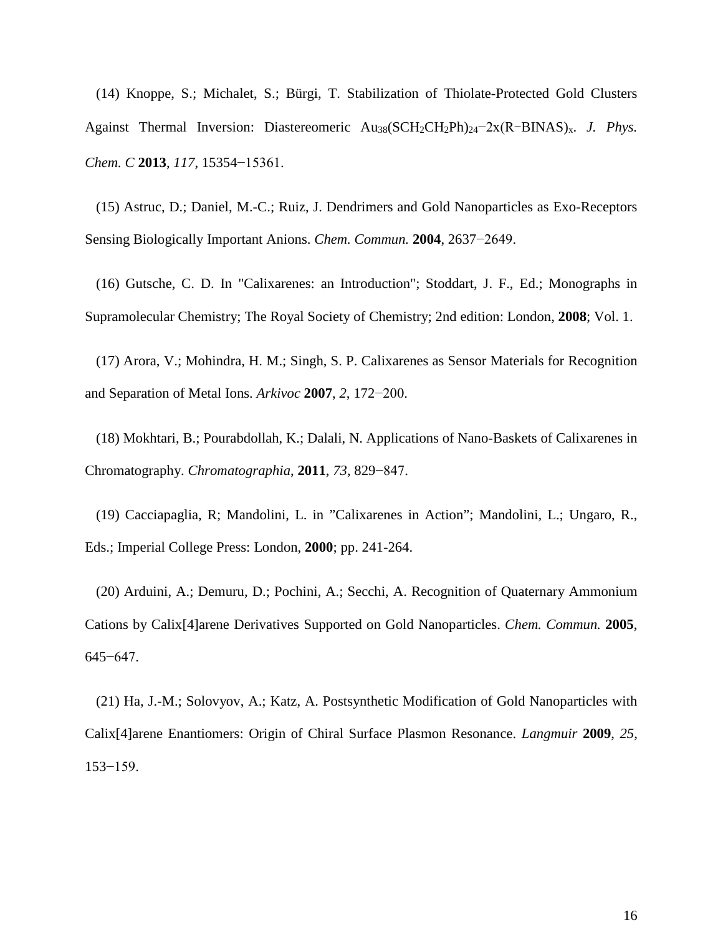(14) Knoppe, S.; Michalet, S.; Bürgi, T. Stabilization of Thiolate-Protected Gold Clusters Against Thermal Inversion: Diastereomeric Au38(SCH2CH2Ph)24−2x(R-BINAS)x. *J. Phys. Chem. C* **2013**, *117*, 15354−15361.

(15) Astruc, D.; Daniel, M.-C.; Ruiz, J. Dendrimers and Gold Nanoparticles as Exo-Receptors Sensing Biologically Important Anions. *Chem. Commun.* **2004**, 2637−2649.

(16) Gutsche, C. D. In "Calixarenes: an Introduction"; Stoddart, J. F., Ed.; Monographs in Supramolecular Chemistry; The Royal Society of Chemistry; 2nd edition: London, **2008**; Vol. 1.

(17) Arora, V.; Mohindra, H. M.; Singh, S. P. Calixarenes as Sensor Materials for Recognition and Separation of Metal Ions. *Arkivoc* **2007**, *2*, 172−200.

(18) Mokhtari, B.; Pourabdollah, K.; Dalali, N. Applications of Nano-Baskets of Calixarenes in Chromatography. *Chromatographia*, **2011**, *73*, 829−847.

(19) Cacciapaglia, R; Mandolini, L. in "Calixarenes in Action"; Mandolini, L.; Ungaro, R., Eds.; Imperial College Press: London, **2000**; pp. 241-264.

(20) Arduini, A.; Demuru, D.; Pochini, A.; Secchi, A. Recognition of Quaternary Ammonium Cations by Calix[4]arene Derivatives Supported on Gold Nanoparticles. *Chem. Commun.* **2005**, 645−647.

(21) Ha, J.-M.; Solovyov, A.; Katz, A. Postsynthetic Modification of Gold Nanoparticles with Calix[4]arene Enantiomers: Origin of Chiral Surface Plasmon Resonance. *Langmuir* **2009**, *25*, 153−159.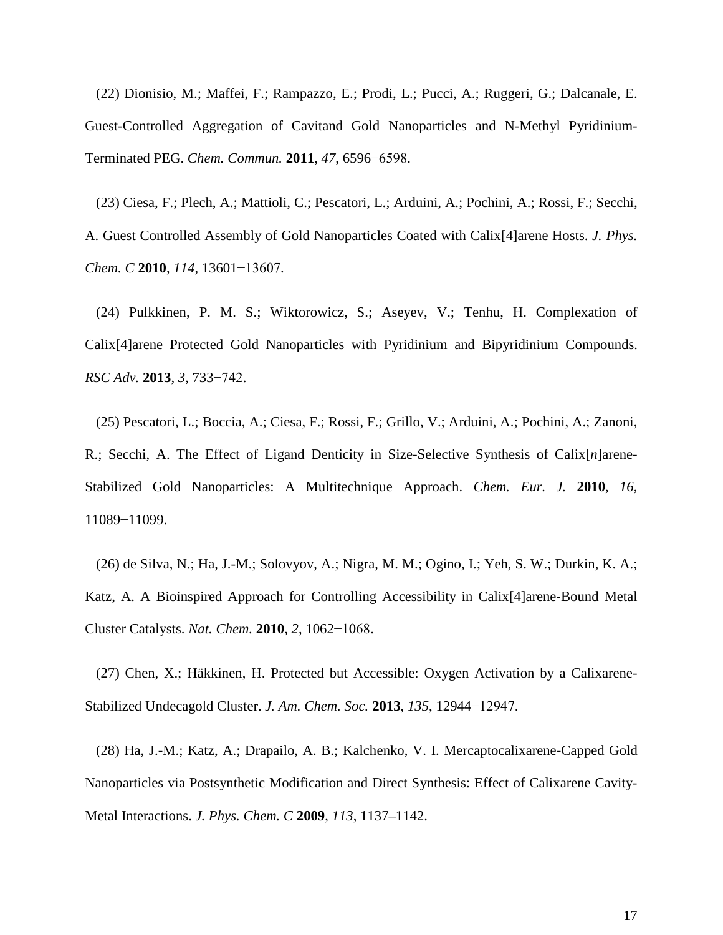(22) Dionisio, M.; Maffei, F.; Rampazzo, E.; Prodi, L.; Pucci, A.; Ruggeri, G.; Dalcanale, E. Guest-Controlled Aggregation of Cavitand Gold Nanoparticles and N-Methyl Pyridinium-Terminated PEG. *Chem. Commun.* **2011**, *47*, 6596−6598.

(23) Ciesa, F.; Plech, A.; Mattioli, C.; Pescatori, L.; Arduini, A.; Pochini, A.; Rossi, F.; Secchi, A. Guest Controlled Assembly of Gold Nanoparticles Coated with Calix[4]arene Hosts. *J. Phys. Chem. C* **2010**, *114*, 13601−13607.

(24) Pulkkinen, P. M. S.; Wiktorowicz, S.; Aseyev, V.; Tenhu, H. Complexation of Calix[4]arene Protected Gold Nanoparticles with Pyridinium and Bipyridinium Compounds. *RSC Adv.* **2013**, *3*, 733−742.

(25) Pescatori, L.; Boccia, A.; Ciesa, F.; Rossi, F.; Grillo, V.; Arduini, A.; Pochini, A.; Zanoni, R.; Secchi, A. The Effect of Ligand Denticity in Size-Selective Synthesis of Calix[*n*]arene-Stabilized Gold Nanoparticles: A Multitechnique Approach. *Chem. Eur. J.* **2010**, *16*, 11089−11099.

(26) de Silva, N.; Ha, J.-M.; Solovyov, A.; Nigra, M. M.; Ogino, I.; Yeh, S. W.; Durkin, K. A.; Katz, A. A Bioinspired Approach for Controlling Accessibility in Calix[4]arene-Bound Metal Cluster Catalysts. *Nat. Chem.* **2010**, *2*, 1062−1068.

(27) Chen, X.; Häkkinen, H. Protected but Accessible: Oxygen Activation by a Calixarene-Stabilized Undecagold Cluster. *J. Am. Chem. Soc.* **2013**, *135*, 12944−12947.

(28) Ha, J.-M.; Katz, A.; Drapailo, A. B.; Kalchenko, V. I. Mercaptocalixarene-Capped Gold Nanoparticles via Postsynthetic Modification and Direct Synthesis: Effect of Calixarene Cavity-Metal Interactions. *J. Phys. Chem. C* **2009**, *113*, 1137–1142.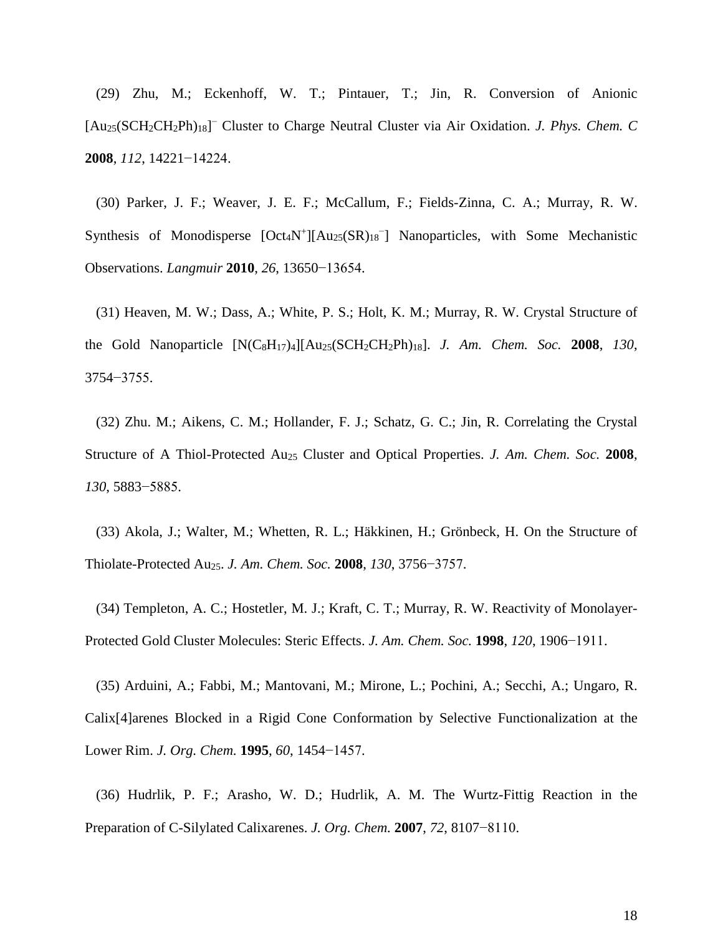(29) Zhu, M.; Eckenhoff, W. T.; Pintauer, T.; Jin, R. Conversion of Anionic [Au25(SCH2CH2Ph)18] <sup>−</sup> Cluster to Charge Neutral Cluster via Air Oxidation. *J. Phys. Chem. C* **2008**, *112*, 14221−14224.

(30) Parker, J. F.; Weaver, J. E. F.; McCallum, F.; Fields-Zinna, C. A.; Murray, R. W. Synthesis of Monodisperse [Oct4N+][Au25(SR)18<sup>−</sup> ] Nanoparticles, with Some Mechanistic Observations. *Langmuir* **2010**, *26*, 13650−13654.

(31) Heaven, M. W.; Dass, A.; White, P. S.; Holt, K. M.; Murray, R. W. Crystal Structure of the Gold Nanoparticle [N(C8H17)4][Au25(SCH2CH2Ph)18]. *J. Am. Chem. Soc.* **2008**, *130*, 3754−3755.

(32) Zhu. M.; Aikens, C. M.; Hollander, F. J.; Schatz, G. C.; Jin, R. Correlating the Crystal Structure of A Thiol-Protected Au25 Cluster and Optical Properties. *J. Am. Chem. Soc.* **2008**, *130*, 5883−5885.

(33) Akola, J.; Walter, M.; Whetten, R. L.; Häkkinen, H.; Grönbeck, H. On the Structure of Thiolate-Protected Au25. *J. Am. Chem. Soc.* **2008**, *130*, 3756−3757.

(34) Templeton, A. C.; Hostetler, M. J.; Kraft, C. T.; Murray, R. W. Reactivity of Monolayer-Protected Gold Cluster Molecules: Steric Effects. *J. Am. Chem. Soc.* **1998**, *120*, 1906−1911.

(35) Arduini, A.; Fabbi, M.; Mantovani, M.; Mirone, L.; Pochini, A.; Secchi, A.; Ungaro, R. Calix[4]arenes Blocked in a Rigid Cone Conformation by Selective Functionalization at the Lower Rim. *J. Org. Chem.* **1995**, *60*, 1454−1457.

(36) Hudrlik, P. F.; Arasho, W. D.; Hudrlik, A. M. The Wurtz-Fittig Reaction in the Preparation of C-Silylated Calixarenes. *J. Org. Chem.* **2007**, *72*, 8107−8110.